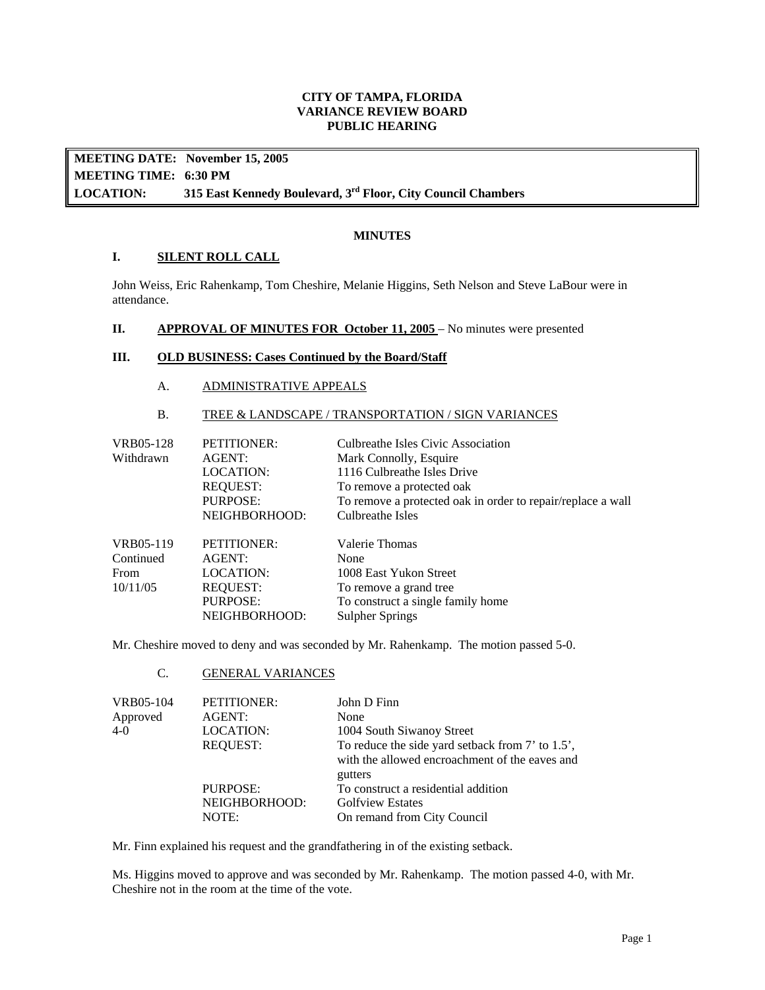### **CITY OF TAMPA, FLORIDA VARIANCE REVIEW BOARD PUBLIC HEARING**

**LOCATION: MEETING DATE: November 15, 2005 MEETING TIME: 6:30 PM**  315 East Kennedy Boulevard, 3<sup>rd</sup> Floor, City Council Chambers

### **MINUTES**

### **I. SILENT ROLL CALL**

John Weiss, Eric Rahenkamp, Tom Cheshire, Melanie Higgins, Seth Nelson and Steve LaBour were in attendance.

#### **II.** APPROVAL OF MINUTES FOR October 11, 2005 – No minutes were presented

# **III. OLD BUSINESS: Cases Continued by the Board/Staff**

#### A. ADMINISTRATIVE APPEALS

### B. TREE & LANDSCAPE / TRANSPORTATION / SIGN VARIANCES

| VRB05-128<br>Withdrawn | PETITIONER:<br>AGENT:<br>LOCATION:<br><b>REQUEST:</b><br><b>PURPOSE:</b> | Culbreathe Isles Civic Association<br>Mark Connolly, Esquire<br>1116 Culbreathe Isles Drive<br>To remove a protected oak<br>To remove a protected oak in order to repair/replace a wall |
|------------------------|--------------------------------------------------------------------------|-----------------------------------------------------------------------------------------------------------------------------------------------------------------------------------------|
|                        | NEIGHBORHOOD:                                                            | Culbreathe Isles                                                                                                                                                                        |
| VRB05-119              | PETITIONER:                                                              | Valerie Thomas                                                                                                                                                                          |
| Continued              | AGENT:                                                                   | None                                                                                                                                                                                    |
| From                   | LOCATION:                                                                | 1008 East Yukon Street                                                                                                                                                                  |
| 10/11/05               | <b>REQUEST:</b>                                                          | To remove a grand tree                                                                                                                                                                  |
|                        | PURPOSE:                                                                 | To construct a single family home                                                                                                                                                       |
|                        | NEIGHBORHOOD:                                                            | <b>Sulpher Springs</b>                                                                                                                                                                  |

Mr. Cheshire moved to deny and was seconded by Mr. Rahenkamp. The motion passed 5-0.

# C. GENERAL VARIANCES

| VRB05-104 | PETITIONER:                        | John D Finn                                                                                                   |
|-----------|------------------------------------|---------------------------------------------------------------------------------------------------------------|
| Approved  | AGENT:                             | None                                                                                                          |
| 4-0       | LOCATION:                          | 1004 South Siwanoy Street                                                                                     |
|           | <b>REOUEST:</b>                    | To reduce the side yard setback from 7' to 1.5',<br>with the allowed encroachment of the eaves and<br>gutters |
|           | PURPOSE:<br>NEIGHBORHOOD:<br>NOTE: | To construct a residential addition<br><b>Golfview Estates</b><br>On remand from City Council                 |

Mr. Finn explained his request and the grandfathering in of the existing setback.

Ms. Higgins moved to approve and was seconded by Mr. Rahenkamp. The motion passed 4-0, with Mr. Cheshire not in the room at the time of the vote.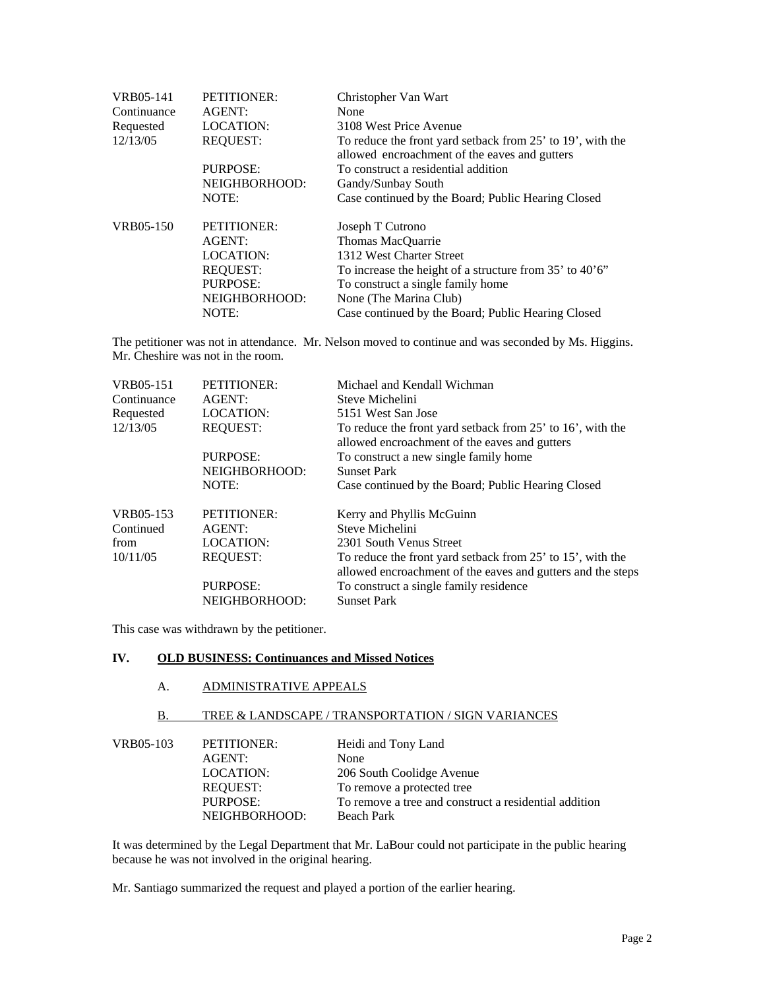| VRB05-141   | <b>PETITIONER:</b> | Christopher Van Wart                                                                                        |
|-------------|--------------------|-------------------------------------------------------------------------------------------------------------|
| Continuance | AGENT:             | None                                                                                                        |
| Requested   | <b>LOCATION:</b>   | 3108 West Price Avenue                                                                                      |
| 12/13/05    | <b>REQUEST:</b>    | To reduce the front yard setback from 25' to 19', with the<br>allowed encroachment of the eaves and gutters |
|             | PURPOSE:           | To construct a residential addition                                                                         |
|             | NEIGHBORHOOD:      | Gandy/Sunbay South                                                                                          |
|             | NOTE:              | Case continued by the Board; Public Hearing Closed                                                          |
| VRB05-150   | <b>PETITIONER:</b> | Joseph T Cutrono                                                                                            |
|             | AGENT:             | Thomas MacQuarrie                                                                                           |
|             | <b>LOCATION:</b>   | 1312 West Charter Street                                                                                    |
|             | <b>REQUEST:</b>    | To increase the height of a structure from 35' to 40'6"                                                     |
|             | <b>PURPOSE:</b>    | To construct a single family home                                                                           |
|             | NEIGHBORHOOD:      | None (The Marina Club)                                                                                      |
|             | NOTE:              | Case continued by the Board; Public Hearing Closed                                                          |

The petitioner was not in attendance. Mr. Nelson moved to continue and was seconded by Ms. Higgins. Mr. Cheshire was not in the room.

| VRB05-151<br>Continuance<br>Requested | <b>PETITIONER:</b><br>AGENT:<br><b>LOCATION:</b> | Michael and Kendall Wichman<br>Steve Michelini<br>5151 West San Jose                                                      |
|---------------------------------------|--------------------------------------------------|---------------------------------------------------------------------------------------------------------------------------|
| 12/13/05                              | <b>REQUEST:</b>                                  | To reduce the front yard setback from 25' to 16', with the<br>allowed encroachment of the eaves and gutters               |
|                                       | PURPOSE:                                         | To construct a new single family home                                                                                     |
|                                       | NEIGHBORHOOD:                                    | <b>Sunset Park</b>                                                                                                        |
|                                       | NOTE:                                            | Case continued by the Board; Public Hearing Closed                                                                        |
| VRB05-153                             | PETITIONER:                                      | Kerry and Phyllis McGuinn                                                                                                 |
| Continued                             | AGENT:                                           | Steve Michelini                                                                                                           |
| from                                  | <b>LOCATION:</b>                                 | 2301 South Venus Street                                                                                                   |
| 10/11/05                              | <b>REOUEST:</b>                                  | To reduce the front yard setback from 25' to 15', with the<br>allowed encroachment of the eaves and gutters and the steps |
|                                       | PURPOSE:                                         | To construct a single family residence                                                                                    |
|                                       | NEIGHBORHOOD:                                    | <b>Sunset Park</b>                                                                                                        |

This case was withdrawn by the petitioner.

### **IV. OLD BUSINESS: Continuances and Missed Notices**

#### A. ADMINISTRATIVE APPEALS

# B. TREE & LANDSCAPE / TRANSPORTATION / SIGN VARIANCES

| VRB05-103 | PETITIONER:   | Heidi and Tony Land                                   |
|-----------|---------------|-------------------------------------------------------|
|           | AGENT:        | None                                                  |
|           | LOCATION:     | 206 South Coolidge Avenue                             |
|           | REOUEST:      | To remove a protected tree                            |
|           | PURPOSE:      | To remove a tree and construct a residential addition |
|           | NEIGHBORHOOD: | <b>Beach Park</b>                                     |

 It was determined by the Legal Department that Mr. LaBour could not participate in the public hearing because he was not involved in the original hearing.

Mr. Santiago summarized the request and played a portion of the earlier hearing.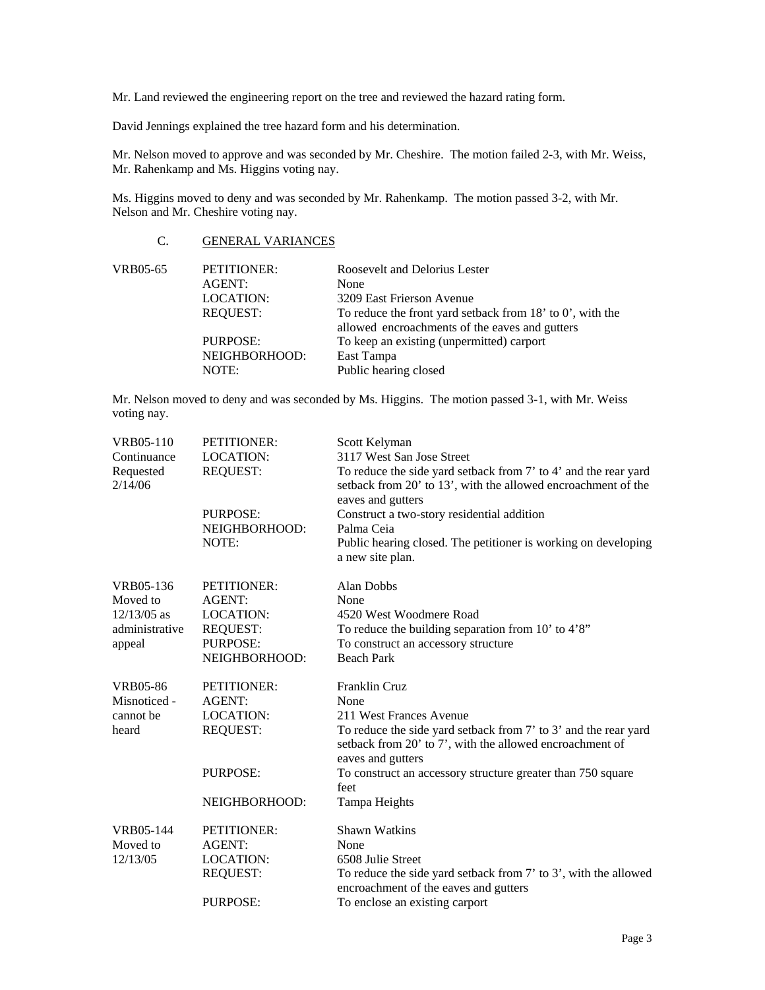Mr. Land reviewed the engineering report on the tree and reviewed the hazard rating form.

David Jennings explained the tree hazard form and his determination.

Mr. Nelson moved to approve and was seconded by Mr. Cheshire. The motion failed 2-3, with Mr. Weiss, Mr. Rahenkamp and Ms. Higgins voting nay.

Ms. Higgins moved to deny and was seconded by Mr. Rahenkamp. The motion passed 3-2, with Mr. Nelson and Mr. Cheshire voting nay.

### C. GENERAL VARIANCES

| VRB05-65 | <b>PETITIONER:</b> | Roosevelt and Delorius Lester                               |
|----------|--------------------|-------------------------------------------------------------|
|          | AGENT:             | None                                                        |
|          | LOCATION:          | 3209 East Frierson Avenue                                   |
|          | <b>REOUEST:</b>    | To reduce the front yard setback from $18'$ to 0', with the |
|          |                    | allowed encroachments of the eaves and gutters              |
|          | PURPOSE:           | To keep an existing (unpermitted) carport                   |
|          | NEIGHBORHOOD:      | East Tampa                                                  |
|          | NOTE:              | Public hearing closed                                       |

Mr. Nelson moved to deny and was seconded by Ms. Higgins. The motion passed 3-1, with Mr. Weiss voting nay.

| VRB05-110<br>Continuance<br>Requested<br>2/14/06 | PETITIONER:<br><b>LOCATION:</b><br><b>REQUEST:</b> | Scott Kelyman<br>3117 West San Jose Street<br>To reduce the side yard setback from 7' to 4' and the rear yard<br>setback from 20' to 13', with the allowed encroachment of the<br>eaves and gutters |
|--------------------------------------------------|----------------------------------------------------|-----------------------------------------------------------------------------------------------------------------------------------------------------------------------------------------------------|
|                                                  | <b>PURPOSE:</b><br>NEIGHBORHOOD:<br>NOTE:          | Construct a two-story residential addition<br>Palma Ceia<br>Public hearing closed. The petitioner is working on developing<br>a new site plan.                                                      |
| VRB05-136                                        | <b>PETITIONER:</b>                                 | Alan Dobbs                                                                                                                                                                                          |
| Moved to                                         | AGENT:                                             | None                                                                                                                                                                                                |
| $12/13/05$ as                                    | <b>LOCATION:</b>                                   | 4520 West Woodmere Road                                                                                                                                                                             |
| administrative                                   | <b>REQUEST:</b>                                    | To reduce the building separation from $10'$ to $4'8''$                                                                                                                                             |
| appeal                                           | PURPOSE:                                           | To construct an accessory structure                                                                                                                                                                 |
|                                                  | NEIGHBORHOOD:                                      | <b>Beach Park</b>                                                                                                                                                                                   |
| VRB05-86                                         | <b>PETITIONER:</b>                                 | <b>Franklin Cruz</b>                                                                                                                                                                                |
| Misnoticed -                                     | <b>AGENT:</b>                                      | None                                                                                                                                                                                                |
| cannot be                                        | <b>LOCATION:</b>                                   | 211 West Frances Avenue                                                                                                                                                                             |
| heard                                            | <b>REQUEST:</b>                                    | To reduce the side yard setback from 7' to 3' and the rear yard<br>setback from 20' to 7', with the allowed encroachment of<br>eaves and gutters                                                    |
|                                                  | <b>PURPOSE:</b>                                    | To construct an accessory structure greater than 750 square<br>feet                                                                                                                                 |
|                                                  | NEIGHBORHOOD:                                      | Tampa Heights                                                                                                                                                                                       |
| <b>VRB05-144</b>                                 | <b>PETITIONER:</b>                                 | <b>Shawn Watkins</b>                                                                                                                                                                                |
| Moved to                                         | <b>AGENT:</b>                                      | None                                                                                                                                                                                                |
| 12/13/05                                         | <b>LOCATION:</b>                                   | 6508 Julie Street                                                                                                                                                                                   |
|                                                  | <b>REQUEST:</b>                                    | To reduce the side yard setback from 7' to 3', with the allowed<br>encroachment of the eaves and gutters                                                                                            |
|                                                  | <b>PURPOSE:</b>                                    | To enclose an existing carport                                                                                                                                                                      |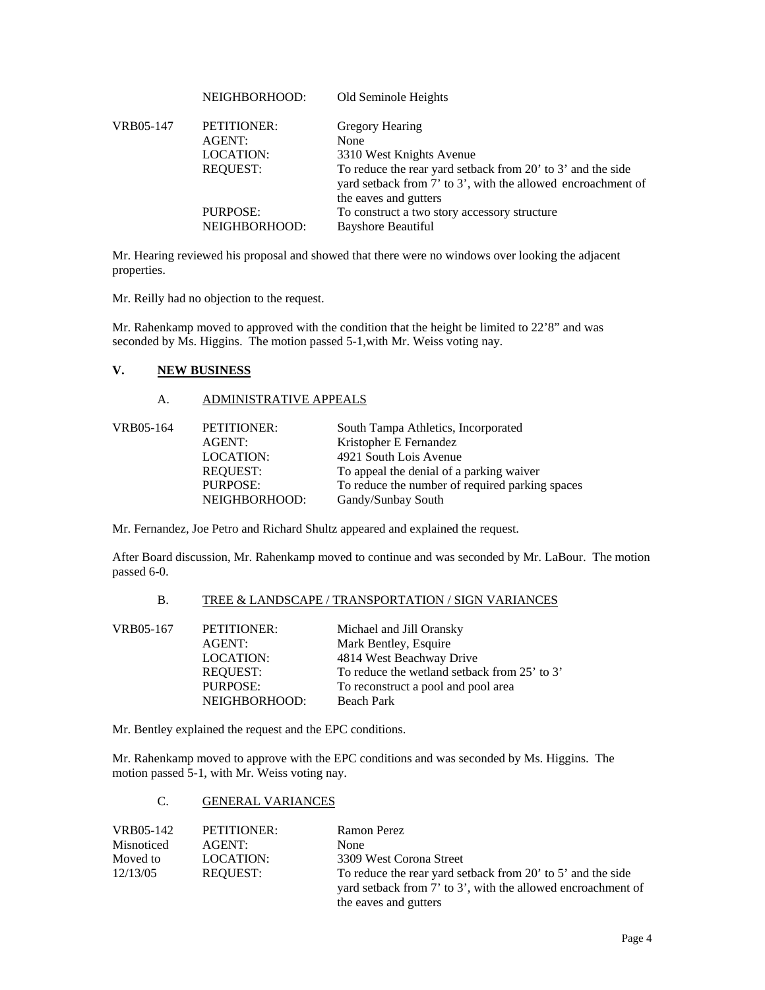|           | NEIGHBORHOOD:                      | Old Seminole Heights                                                                                                                                 |
|-----------|------------------------------------|------------------------------------------------------------------------------------------------------------------------------------------------------|
| VRB05-147 | PETITIONER:<br>AGENT:<br>LOCATION: | Gregory Hearing<br>None<br>3310 West Knights Avenue                                                                                                  |
|           | <b>REQUEST:</b>                    | To reduce the rear yard setback from 20' to 3' and the side<br>yard setback from 7' to 3', with the allowed encroachment of<br>the eaves and gutters |
|           | PURPOSE:<br>NEIGHBORHOOD:          | To construct a two story accessory structure<br><b>Bayshore Beautiful</b>                                                                            |

Mr. Hearing reviewed his proposal and showed that there were no windows over looking the adjacent properties.

Mr. Reilly had no objection to the request.

Mr. Rahenkamp moved to approved with the condition that the height be limited to 22'8" and was seconded by Ms. Higgins. The motion passed 5-1,with Mr. Weiss voting nay.

# **V. NEW BUSINESS**

### A. ADMINISTRATIVE APPEALS

| VRB05-164 | PETITIONER:     | South Tampa Athletics, Incorporated             |
|-----------|-----------------|-------------------------------------------------|
|           | AGENT:          | Kristopher E Fernandez                          |
|           | LOCATION:       | 4921 South Lois Avenue                          |
|           | <b>REOUEST:</b> | To appeal the denial of a parking waiver        |
|           | PURPOSE:        | To reduce the number of required parking spaces |
|           | NEIGHBORHOOD:   | Gandy/Sunbay South                              |

Mr. Fernandez, Joe Petro and Richard Shultz appeared and explained the request.

After Board discussion, Mr. Rahenkamp moved to continue and was seconded by Mr. LaBour. The motion passed 6-0.

#### B. TREE & LANDSCAPE / TRANSPORTATION / SIGN VARIANCES

| VRB05-167 | PETITIONER:      | Michael and Jill Oransky                     |
|-----------|------------------|----------------------------------------------|
|           | AGENT:           | Mark Bentley, Esquire                        |
|           | <b>LOCATION:</b> | 4814 West Beachway Drive                     |
|           | <b>REOUEST:</b>  | To reduce the wetland setback from 25' to 3' |
|           | <b>PURPOSE:</b>  | To reconstruct a pool and pool area          |
|           | NEIGHBORHOOD:    | <b>Beach Park</b>                            |

Mr. Bentley explained the request and the EPC conditions.

Mr. Rahenkamp moved to approve with the EPC conditions and was seconded by Ms. Higgins. The motion passed 5-1, with Mr. Weiss voting nay.

#### C. GENERAL VARIANCES

| VRB05-142  | PETITIONER: | Ramon Perez                                                  |
|------------|-------------|--------------------------------------------------------------|
| Misnoticed | AGENT:      | None                                                         |
| Moved to   | LOCATION:   | 3309 West Corona Street                                      |
| 12/13/05   | REOUEST:    | To reduce the rear yard setback from 20' to 5' and the side  |
|            |             | yard setback from 7' to 3', with the allowed encroachment of |
|            |             | the eaves and gutters                                        |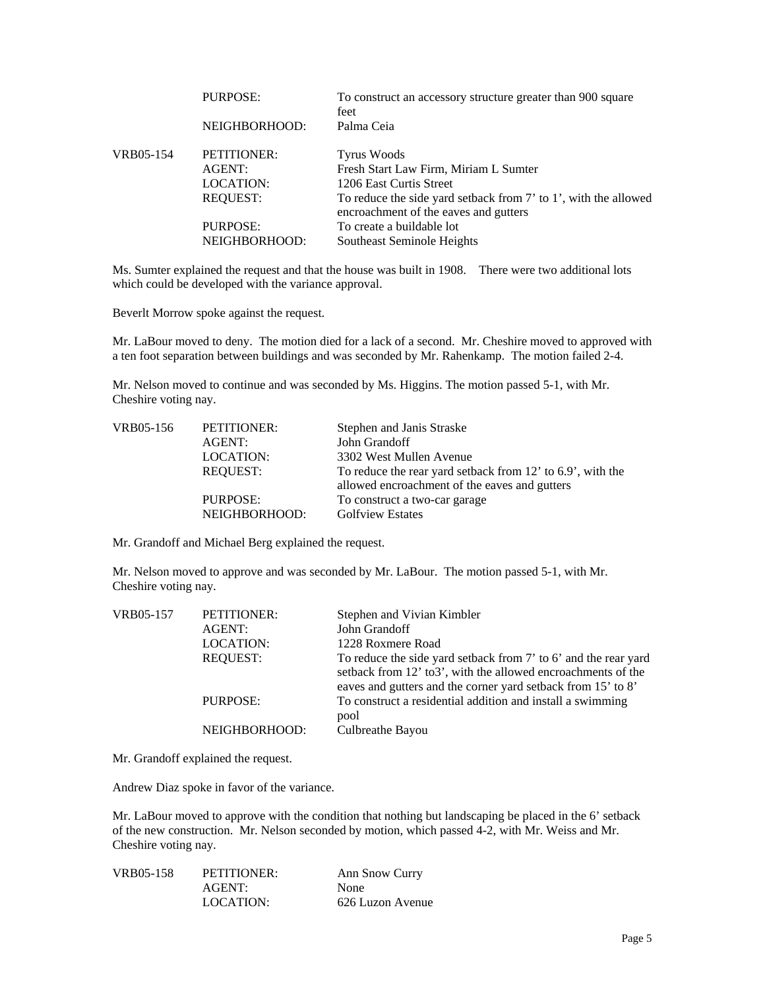|           | PURPOSE:                  | To construct an accessory structure greater than 900 square<br>feet                                      |
|-----------|---------------------------|----------------------------------------------------------------------------------------------------------|
|           | NEIGHBORHOOD:             | Palma Ceia                                                                                               |
| VRB05-154 | PETITIONER:               | <b>Tyrus Woods</b>                                                                                       |
|           | AGENT:                    | Fresh Start Law Firm, Miriam L Sumter                                                                    |
|           | LOCATION:                 | 1206 East Curtis Street                                                                                  |
|           | <b>REOUEST:</b>           | To reduce the side yard setback from 7' to 1', with the allowed<br>encroachment of the eaves and gutters |
|           | PURPOSE:<br>NEIGHBORHOOD: | To create a buildable lot<br>Southeast Seminole Heights                                                  |

Ms. Sumter explained the request and that the house was built in 1908. There were two additional lots which could be developed with the variance approval.

Beverlt Morrow spoke against the request.

Mr. LaBour moved to deny. The motion died for a lack of a second. Mr. Cheshire moved to approved with a ten foot separation between buildings and was seconded by Mr. Rahenkamp. The motion failed 2-4.

Mr. Nelson moved to continue and was seconded by Ms. Higgins. The motion passed 5-1, with Mr. Cheshire voting nay.

| PETITIONER:     | Stephen and Janis Straske                                  |
|-----------------|------------------------------------------------------------|
| AGENT:          | John Grandoff                                              |
| LOCATION:       | 3302 West Mullen Avenue                                    |
| <b>REOUEST:</b> | To reduce the rear yard setback from 12' to 6.9', with the |
|                 | allowed encroachment of the eaves and gutters              |
|                 | To construct a two-car garage                              |
| NEIGHBORHOOD:   | <b>Golfview Estates</b>                                    |
|                 | PURPOSE:                                                   |

Mr. Grandoff and Michael Berg explained the request.

Mr. Nelson moved to approve and was seconded by Mr. LaBour. The motion passed 5-1, with Mr. Cheshire voting nay.

| VRB05-157 | PETITIONER:<br>AGENT:<br><b>LOCATION:</b> | Stephen and Vivian Kimbler<br>John Grandoff<br>1228 Roxmere Road                                                                                                                                 |
|-----------|-------------------------------------------|--------------------------------------------------------------------------------------------------------------------------------------------------------------------------------------------------|
|           | <b>REQUEST:</b>                           | To reduce the side yard setback from 7' to 6' and the rear yard<br>setback from 12' to 3', with the allowed encroachments of the<br>eaves and gutters and the corner yard setback from 15' to 8' |
|           | PURPOSE:                                  | To construct a residential addition and install a swimming<br>pool                                                                                                                               |
|           | NEIGHBORHOOD:                             | Culbreathe Bayou                                                                                                                                                                                 |

Mr. Grandoff explained the request.

Andrew Diaz spoke in favor of the variance.

Mr. LaBour moved to approve with the condition that nothing but landscaping be placed in the 6' setback of the new construction. Mr. Nelson seconded by motion, which passed 4-2, with Mr. Weiss and Mr. Cheshire voting nay.

| VRB05-158 | PETITIONER: | Ann Snow Curry   |
|-----------|-------------|------------------|
|           | AGENT:      | <b>None</b>      |
|           | LOCATION:   | 626 Luzon Avenue |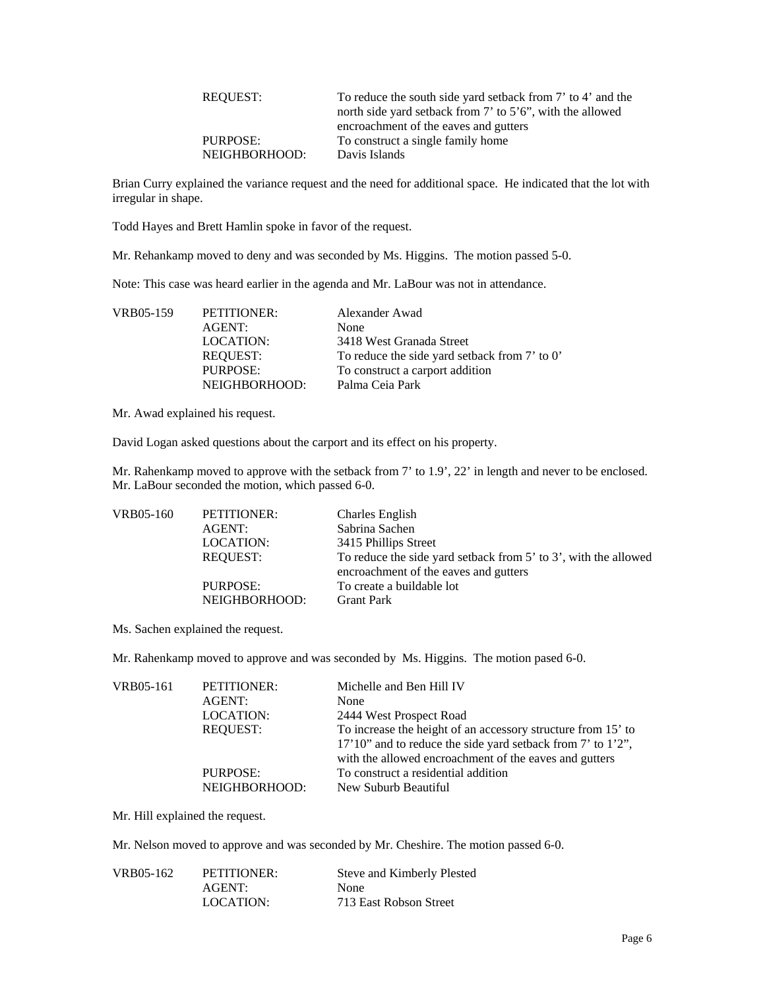| REOUEST:      | To reduce the south side yard setback from 7' to 4' and the     |
|---------------|-----------------------------------------------------------------|
|               | north side yard setback from $7'$ to $5'6''$ , with the allowed |
|               | encroachment of the eaves and gutters                           |
| PURPOSE:      | To construct a single family home                               |
| NEIGHBORHOOD: | Davis Islands                                                   |

Brian Curry explained the variance request and the need for additional space. He indicated that the lot with irregular in shape.

Todd Hayes and Brett Hamlin spoke in favor of the request.

Mr. Rehankamp moved to deny and was seconded by Ms. Higgins. The motion passed 5-0.

Note: This case was heard earlier in the agenda and Mr. LaBour was not in attendance.

| PETITIONER:     | Alexander Awad                                |
|-----------------|-----------------------------------------------|
| AGENT:          | None                                          |
| LOCATION:       | 3418 West Granada Street                      |
| <b>REOUEST:</b> | To reduce the side yard setback from 7' to 0' |
| PURPOSE:        | To construct a carport addition               |
| NEIGHBORHOOD:   | Palma Ceia Park                               |
|                 |                                               |

Mr. Awad explained his request.

David Logan asked questions about the carport and its effect on his property.

Mr. Rahenkamp moved to approve with the setback from 7' to 1.9', 22' in length and never to be enclosed. Mr. LaBour seconded the motion, which passed 6-0.

| VRB05-160 | PETITIONER:               | <b>Charles English</b>                                                                                   |
|-----------|---------------------------|----------------------------------------------------------------------------------------------------------|
|           | AGENT:                    | Sabrina Sachen                                                                                           |
|           | LOCATION:                 | 3415 Phillips Street                                                                                     |
|           | <b>REOUEST:</b>           | To reduce the side yard setback from 5' to 3', with the allowed<br>encroachment of the eaves and gutters |
|           | PURPOSE:<br>NEIGHBORHOOD: | To create a buildable lot<br><b>Grant Park</b>                                                           |

Ms. Sachen explained the request.

Mr. Rahenkamp moved to approve and was seconded by Ms. Higgins. The motion pased 6-0.

| VRB05-161 | PETITIONER:<br>AGENT:<br><b>LOCATION:</b><br>REOUEST:<br>PURPOSE: | Michelle and Ben Hill IV<br>None<br>2444 West Prospect Road<br>To increase the height of an accessory structure from 15' to<br>17'10" and to reduce the side yard setback from 7' to 1'2",<br>with the allowed encroachment of the eaves and gutters<br>To construct a residential addition |
|-----------|-------------------------------------------------------------------|---------------------------------------------------------------------------------------------------------------------------------------------------------------------------------------------------------------------------------------------------------------------------------------------|
|           | NEIGHBORHOOD:                                                     | New Suburb Beautiful                                                                                                                                                                                                                                                                        |

Mr. Hill explained the request.

Mr. Nelson moved to approve and was seconded by Mr. Cheshire. The motion passed 6-0.

| VRB05-162 | PETITIONER: | Steve and Kimberly Plested |
|-----------|-------------|----------------------------|
|           | AGENT:      | None                       |
|           | LOCATION:   | 713 East Robson Street     |